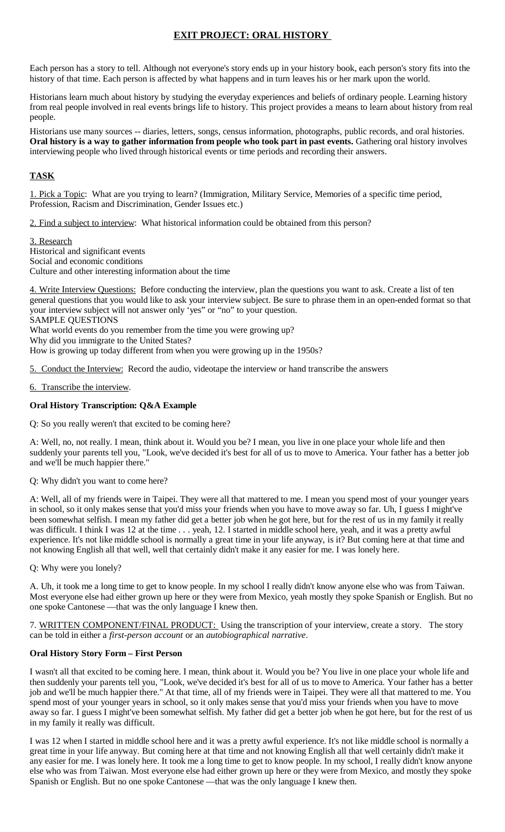# **EXIT PROJECT: ORAL HISTORY**

Each person has a story to tell. Although not everyone's story ends up in your history book, each person's story fits into the history of that time. Each person is affected by what happens and in turn leaves his or her mark upon the world.

Historians learn much about history by studying the everyday experiences and beliefs of ordinary people. Learning history from real people involved in real events brings life to history. This project provides a means to learn about history from real people.

Historians use many sources -- diaries, letters, songs, census information, photographs, public records, and oral histories. **Oral history is a way to gather information from people who took part in past events.** Gathering oral history involves interviewing people who lived through historical events or time periods and recording their answers.

## **TASK**

1. Pick a Topic: What are you trying to learn? (Immigration, Military Service, Memories of a specific time period, Profession, Racism and Discrimination, Gender Issues etc.)

2. Find a subject to interview: What historical information could be obtained from this person?

3. Research Historical and significant events Social and economic conditions Culture and other interesting information about the time

4. Write Interview Questions: Before conducting the interview, plan the questions you want to ask. Create a list of ten general questions that you would like to ask your interview subject. Be sure to phrase them in an open-ended format so that your interview subject will not answer only 'yes" or "no" to your question. SAMPLE QUESTIONS

What world events do you remember from the time you were growing up?

Why did you immigrate to the United States?

How is growing up today different from when you were growing up in the 1950s?

5. Conduct the Interview: Record the audio, videotape the interview or hand transcribe the answers

#### 6. Transcribe the interview.

## **Oral History Transcription: Q&A Example**

Q: So you really weren't that excited to be coming here?

A: Well, no, not really. I mean, think about it. Would you be? I mean, you live in one place your whole life and then suddenly your parents tell you, "Look, we've decided it's best for all of us to move to America. Your father has a better job and we'll be much happier there."

## Q: Why didn't you want to come here?

A: Well, all of my friends were in Taipei. They were all that mattered to me. I mean you spend most of your younger years in school, so it only makes sense that you'd miss your friends when you have to move away so far. Uh, I guess I might've been somewhat selfish. I mean my father did get a better job when he got here, but for the rest of us in my family it really was difficult. I think I was 12 at the time . . . yeah, 12. I started in middle school here, yeah, and it was a pretty awful experience. It's not like middle school is normally a great time in your life anyway, is it? But coming here at that time and not knowing English all that well, well that certainly didn't make it any easier for me. I was lonely here.

Q: Why were you lonely?

A. Uh, it took me a long time to get to know people. In my school I really didn't know anyone else who was from Taiwan. Most everyone else had either grown up here or they were from Mexico, yeah mostly they spoke Spanish or English. But no one spoke Cantonese —that was the only language I knew then.

7. WRITTEN COMPONENT/FINAL PRODUCT: Using the transcription of your interview, create a story. The story can be told in either a *first-person account* or an *autobiographical narrative*.

## **Oral History Story Form – First Person**

I wasn't all that excited to be coming here. I mean, think about it. Would you be? You live in one place your whole life and then suddenly your parents tell you, "Look, we've decided it's best for all of us to move to America. Your father has a better job and we'll be much happier there." At that time, all of my friends were in Taipei. They were all that mattered to me. You spend most of your younger years in school, so it only makes sense that you'd miss your friends when you have to move away so far. I guess I might've been somewhat selfish. My father did get a better job when he got here, but for the rest of us in my family it really was difficult.

I was 12 when I started in middle school here and it was a pretty awful experience. It's not like middle school is normally a great time in your life anyway. But coming here at that time and not knowing English all that well certainly didn't make it any easier for me. I was lonely here. It took me a long time to get to know people. In my school, I really didn't know anyone else who was from Taiwan. Most everyone else had either grown up here or they were from Mexico, and mostly they spoke Spanish or English. But no one spoke Cantonese —that was the only language I knew then.